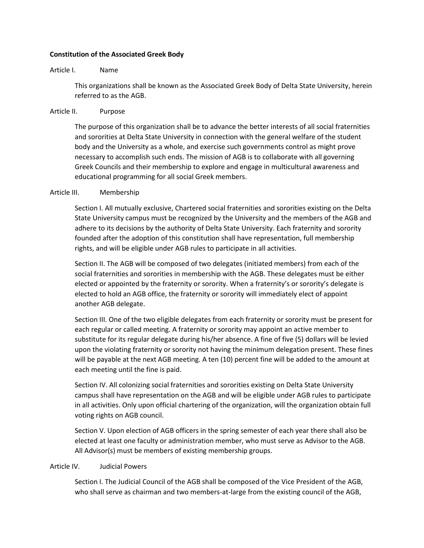### **Constitution of the Associated Greek Body**

### Article I. Name

This organizations shall be known as the Associated Greek Body of Delta State University, herein referred to as the AGB.

### Article II. Purpose

The purpose of this organization shall be to advance the better interests of all social fraternities and sororities at Delta State University in connection with the general welfare of the student body and the University as a whole, and exercise such governments control as might prove necessary to accomplish such ends. The mission of AGB is to collaborate with all governing Greek Councils and their membership to explore and engage in multicultural awareness and educational programming for all social Greek members.

### Article III. Membership

Section I. All mutually exclusive, Chartered social fraternities and sororities existing on the Delta State University campus must be recognized by the University and the members of the AGB and adhere to its decisions by the authority of Delta State University. Each fraternity and sorority founded after the adoption of this constitution shall have representation, full membership rights, and will be eligible under AGB rules to participate in all activities.

Section II. The AGB will be composed of two delegates (initiated members) from each of the social fraternities and sororities in membership with the AGB. These delegates must be either elected or appointed by the fraternity or sorority. When a fraternity's or sorority's delegate is elected to hold an AGB office, the fraternity or sorority will immediately elect of appoint another AGB delegate.

Section III. One of the two eligible delegates from each fraternity or sorority must be present for each regular or called meeting. A fraternity or sorority may appoint an active member to substitute for its regular delegate during his/her absence. A fine of five (5) dollars will be levied upon the violating fraternity or sorority not having the minimum delegation present. These fines will be payable at the next AGB meeting. A ten (10) percent fine will be added to the amount at each meeting until the fine is paid.

Section IV. All colonizing social fraternities and sororities existing on Delta State University campus shall have representation on the AGB and will be eligible under AGB rules to participate in all activities. Only upon official chartering of the organization, will the organization obtain full voting rights on AGB council.

Section V. Upon election of AGB officers in the spring semester of each year there shall also be elected at least one faculty or administration member, who must serve as Advisor to the AGB. All Advisor(s) must be members of existing membership groups.

### Article IV. Judicial Powers

Section I. The Judicial Council of the AGB shall be composed of the Vice President of the AGB, who shall serve as chairman and two members-at-large from the existing council of the AGB,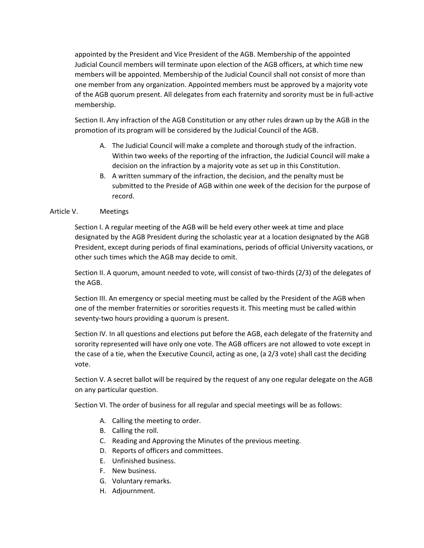appointed by the President and Vice President of the AGB. Membership of the appointed Judicial Council members will terminate upon election of the AGB officers, at which time new members will be appointed. Membership of the Judicial Council shall not consist of more than one member from any organization. Appointed members must be approved by a majority vote of the AGB quorum present. All delegates from each fraternity and sorority must be in full-active membership.

Section II. Any infraction of the AGB Constitution or any other rules drawn up by the AGB in the promotion of its program will be considered by the Judicial Council of the AGB.

- A. The Judicial Council will make a complete and thorough study of the infraction. Within two weeks of the reporting of the infraction, the Judicial Council will make a decision on the infraction by a majority vote as set up in this Constitution.
- B. A written summary of the infraction, the decision, and the penalty must be submitted to the Preside of AGB within one week of the decision for the purpose of record.

# Article V. Meetings

Section I. A regular meeting of the AGB will be held every other week at time and place designated by the AGB President during the scholastic year at a location designated by the AGB President, except during periods of final examinations, periods of official University vacations, or other such times which the AGB may decide to omit.

Section II. A quorum, amount needed to vote, will consist of two-thirds (2/3) of the delegates of the AGB.

Section III. An emergency or special meeting must be called by the President of the AGB when one of the member fraternities or sororities requests it. This meeting must be called within seventy-two hours providing a quorum is present.

Section IV. In all questions and elections put before the AGB, each delegate of the fraternity and sorority represented will have only one vote. The AGB officers are not allowed to vote except in the case of a tie, when the Executive Council, acting as one, (a 2/3 vote) shall cast the deciding vote.

Section V. A secret ballot will be required by the request of any one regular delegate on the AGB on any particular question.

Section VI. The order of business for all regular and special meetings will be as follows:

- A. Calling the meeting to order.
- B. Calling the roll.
- C. Reading and Approving the Minutes of the previous meeting.
- D. Reports of officers and committees.
- E. Unfinished business.
- F. New business.
- G. Voluntary remarks.
- H. Adjournment.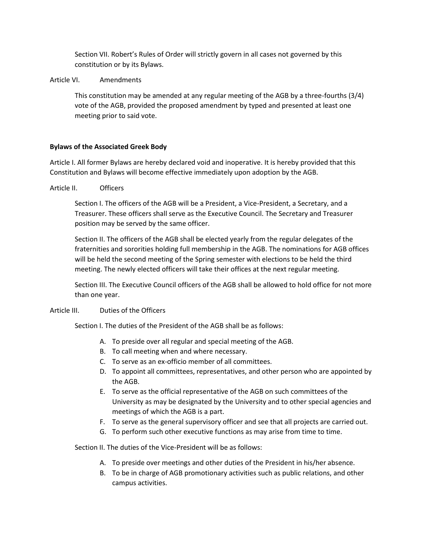Section VII. Robert's Rules of Order will strictly govern in all cases not governed by this constitution or by its Bylaws.

## Article VI. Amendments

This constitution may be amended at any regular meeting of the AGB by a three-fourths (3/4) vote of the AGB, provided the proposed amendment by typed and presented at least one meeting prior to said vote.

# **Bylaws of the Associated Greek Body**

Article I. All former Bylaws are hereby declared void and inoperative. It is hereby provided that this Constitution and Bylaws will become effective immediately upon adoption by the AGB.

Article II. Officers

Section I. The officers of the AGB will be a President, a Vice-President, a Secretary, and a Treasurer. These officers shall serve as the Executive Council. The Secretary and Treasurer position may be served by the same officer.

Section II. The officers of the AGB shall be elected yearly from the regular delegates of the fraternities and sororities holding full membership in the AGB. The nominations for AGB offices will be held the second meeting of the Spring semester with elections to be held the third meeting. The newly elected officers will take their offices at the next regular meeting.

Section III. The Executive Council officers of the AGB shall be allowed to hold office for not more than one year.

# Article III. Duties of the Officers

Section I. The duties of the President of the AGB shall be as follows:

- A. To preside over all regular and special meeting of the AGB.
- B. To call meeting when and where necessary.
- C. To serve as an ex-officio member of all committees.
- D. To appoint all committees, representatives, and other person who are appointed by the AGB.
- E. To serve as the official representative of the AGB on such committees of the University as may be designated by the University and to other special agencies and meetings of which the AGB is a part.
- F. To serve as the general supervisory officer and see that all projects are carried out.
- G. To perform such other executive functions as may arise from time to time.

Section II. The duties of the Vice-President will be as follows:

- A. To preside over meetings and other duties of the President in his/her absence.
- B. To be in charge of AGB promotionary activities such as public relations, and other campus activities.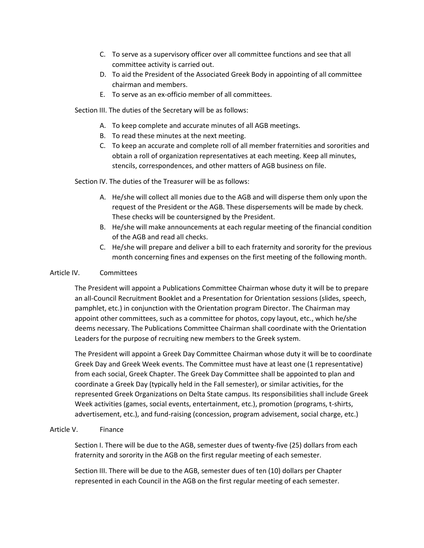- C. To serve as a supervisory officer over all committee functions and see that all committee activity is carried out.
- D. To aid the President of the Associated Greek Body in appointing of all committee chairman and members.
- E. To serve as an ex-officio member of all committees.

Section III. The duties of the Secretary will be as follows:

- A. To keep complete and accurate minutes of all AGB meetings.
- B. To read these minutes at the next meeting.
- C. To keep an accurate and complete roll of all member fraternities and sororities and obtain a roll of organization representatives at each meeting. Keep all minutes, stencils, correspondences, and other matters of AGB business on file.

Section IV. The duties of the Treasurer will be as follows:

- A. He/she will collect all monies due to the AGB and will disperse them only upon the request of the President or the AGB. These dispersements will be made by check. These checks will be countersigned by the President.
- B. He/she will make announcements at each regular meeting of the financial condition of the AGB and read all checks.
- C. He/she will prepare and deliver a bill to each fraternity and sorority for the previous month concerning fines and expenses on the first meeting of the following month.

### Article IV. Committees

The President will appoint a Publications Committee Chairman whose duty it will be to prepare an all-Council Recruitment Booklet and a Presentation for Orientation sessions (slides, speech, pamphlet, etc.) in conjunction with the Orientation program Director. The Chairman may appoint other committees, such as a committee for photos, copy layout, etc., which he/she deems necessary. The Publications Committee Chairman shall coordinate with the Orientation Leaders for the purpose of recruiting new members to the Greek system.

The President will appoint a Greek Day Committee Chairman whose duty it will be to coordinate Greek Day and Greek Week events. The Committee must have at least one (1 representative) from each social, Greek Chapter. The Greek Day Committee shall be appointed to plan and coordinate a Greek Day (typically held in the Fall semester), or similar activities, for the represented Greek Organizations on Delta State campus. Its responsibilities shall include Greek Week activities (games, social events, entertainment, etc.), promotion (programs, t-shirts, advertisement, etc.), and fund-raising (concession, program advisement, social charge, etc.)

### Article V. Finance

Section I. There will be due to the AGB, semester dues of twenty-five (25) dollars from each fraternity and sorority in the AGB on the first regular meeting of each semester.

Section III. There will be due to the AGB, semester dues of ten (10) dollars per Chapter represented in each Council in the AGB on the first regular meeting of each semester.